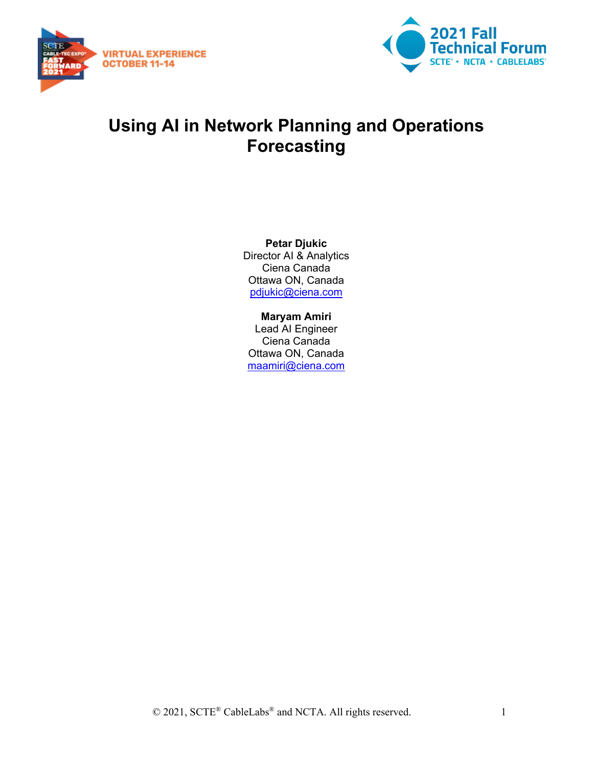



# **Using AI in Network Planning and Operations Forecasting**

**Petar Djukic** Director AI & Analytics Ciena Canada Ottawa ON, Canada [pdjukic@ciena.com](mailto:pdjukic@ciena.com)

# **Maryam Amiri** Lead AI Engineer

Ciena Canada Ottawa ON, Canada [maamiri@ciena.com](mailto:maamiri@ciena.com)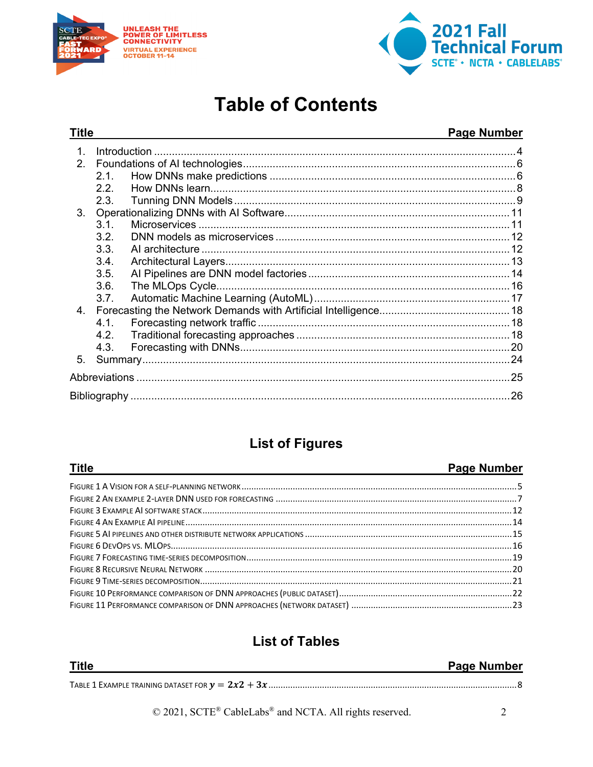



# **Table of Contents**

#### **Title**

#### Page Number

| $\mathbf{1}$ . |      |  |  |  |
|----------------|------|--|--|--|
| 2 <sub>1</sub> |      |  |  |  |
|                | 2.1. |  |  |  |
|                | 22   |  |  |  |
|                | 2.3. |  |  |  |
| 3 <sub>1</sub> |      |  |  |  |
|                | 3.1. |  |  |  |
|                | 3.2. |  |  |  |
|                | 3.3. |  |  |  |
|                | 3.4. |  |  |  |
|                | 3.5. |  |  |  |
|                | 3.6. |  |  |  |
|                | 3.7. |  |  |  |
| 4.             |      |  |  |  |
|                | 4.1. |  |  |  |
|                | 4.2. |  |  |  |
|                | 4.3. |  |  |  |
|                |      |  |  |  |
|                |      |  |  |  |
|                |      |  |  |  |
|                |      |  |  |  |

# **List of Figures**

| Title | <b>Page Number</b> |
|-------|--------------------|
|       |                    |
|       |                    |
|       |                    |
|       |                    |
|       |                    |
|       |                    |
|       |                    |
|       |                    |
|       |                    |
|       |                    |
|       |                    |

# **List of Tables**

| <b>Title</b> | <b>Page Number</b> |
|--------------|--------------------|
|              |                    |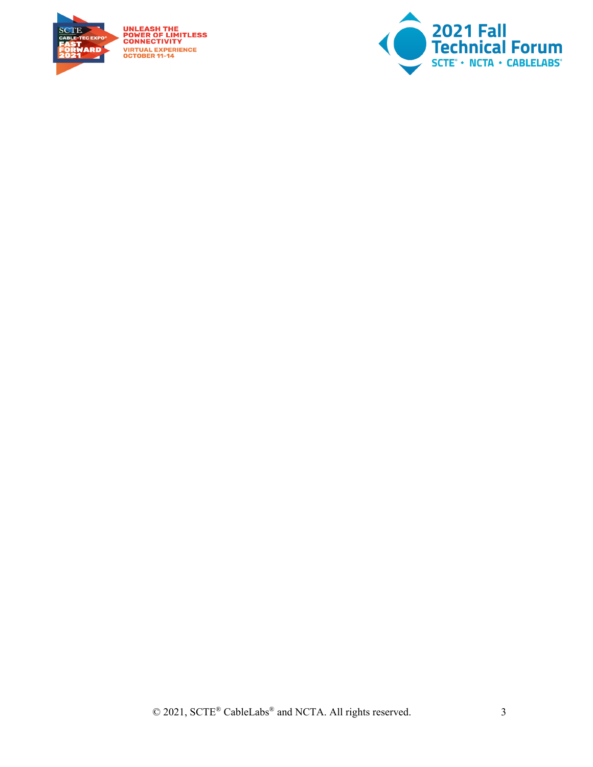

**UNLEASH THE<br>POWER OF LIMITLESS<br>CONNECTIVITY VIRTUAL EXPERIENCE<br>OCTOBER 11-14** 

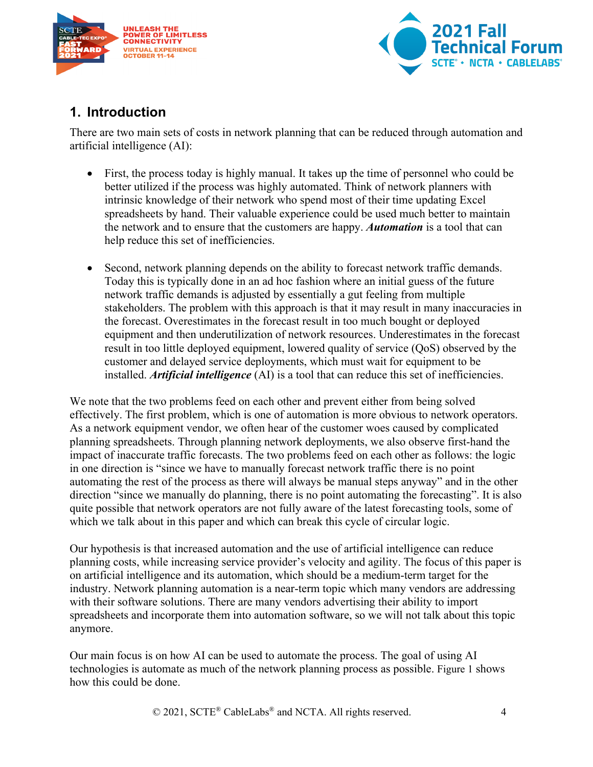



# <span id="page-3-0"></span>**1. Introduction**

There are two main sets of costs in network planning that can be reduced through automation and artificial intelligence (AI):

- First, the process today is highly manual. It takes up the time of personnel who could be better utilized if the process was highly automated. Think of network planners with intrinsic knowledge of their network who spend most of their time updating Excel spreadsheets by hand. Their valuable experience could be used much better to maintain the network and to ensure that the customers are happy. *Automation* is a tool that can help reduce this set of inefficiencies.
- Second, network planning depends on the ability to forecast network traffic demands. Today this is typically done in an ad hoc fashion where an initial guess of the future network traffic demands is adjusted by essentially a gut feeling from multiple stakeholders. The problem with this approach is that it may result in many inaccuracies in the forecast. Overestimates in the forecast result in too much bought or deployed equipment and then underutilization of network resources. Underestimates in the forecast result in too little deployed equipment, lowered quality of service (QoS) observed by the customer and delayed service deployments, which must wait for equipment to be installed. *Artificial intelligence* (AI) is a tool that can reduce this set of inefficiencies.

We note that the two problems feed on each other and prevent either from being solved effectively. The first problem, which is one of automation is more obvious to network operators. As a network equipment vendor, we often hear of the customer woes caused by complicated planning spreadsheets. Through planning network deployments, we also observe first-hand the impact of inaccurate traffic forecasts. The two problems feed on each other as follows: the logic in one direction is "since we have to manually forecast network traffic there is no point automating the rest of the process as there will always be manual steps anyway" and in the other direction "since we manually do planning, there is no point automating the forecasting". It is also quite possible that network operators are not fully aware of the latest forecasting tools, some of which we talk about in this paper and which can break this cycle of circular logic.

Our hypothesis is that increased automation and the use of artificial intelligence can reduce planning costs, while increasing service provider's velocity and agility. The focus of this paper is on artificial intelligence and its automation, which should be a medium-term target for the industry. Network planning automation is a near-term topic which many vendors are addressing with their software solutions. There are many vendors advertising their ability to import spreadsheets and incorporate them into automation software, so we will not talk about this topic anymore.

Our main focus is on how AI can be used to automate the process. The goal of using AI technologies is automate as much of the network planning process as possible. [Figure 1](#page-4-0) shows how this could be done.

© 2021, SCTE<sup>®</sup> CableLabs<sup>®</sup> and NCTA. All rights reserved. 4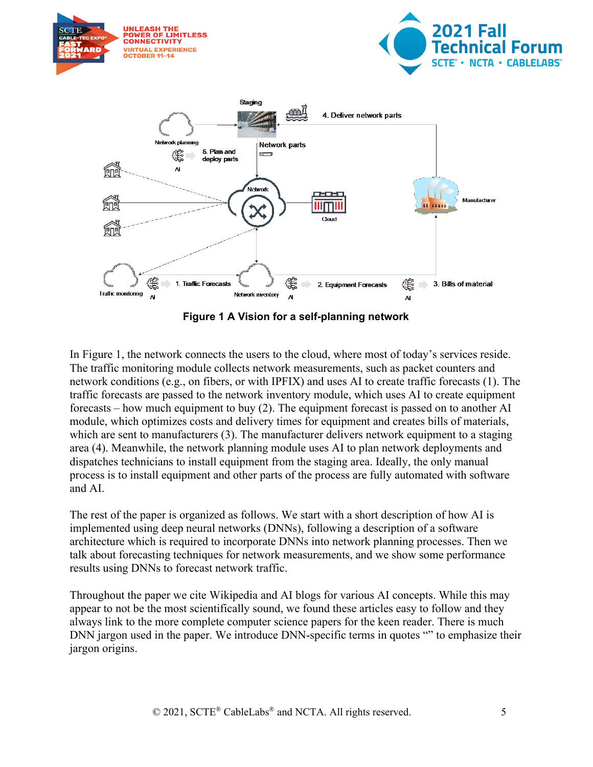

**Figure 1 A Vision for a self-planning network**

<span id="page-4-0"></span>In [Figure 1,](#page-4-0) the network connects the users to the cloud, where most of today's services reside. The traffic monitoring module collects network measurements, such as packet counters and network conditions (e.g., on fibers, or with IPFIX) and uses AI to create traffic forecasts (1). The traffic forecasts are passed to the network inventory module, which uses AI to create equipment forecasts – how much equipment to buy (2). The equipment forecast is passed on to another AI module, which optimizes costs and delivery times for equipment and creates bills of materials, which are sent to manufacturers (3). The manufacturer delivers network equipment to a staging area (4). Meanwhile, the network planning module uses AI to plan network deployments and dispatches technicians to install equipment from the staging area. Ideally, the only manual process is to install equipment and other parts of the process are fully automated with software and AI.

The rest of the paper is organized as follows. We start with a short description of how AI is implemented using deep neural networks (DNNs), following a description of a software architecture which is required to incorporate DNNs into network planning processes. Then we talk about forecasting techniques for network measurements, and we show some performance results using DNNs to forecast network traffic.

Throughout the paper we cite Wikipedia and AI blogs for various AI concepts. While this may appear to not be the most scientifically sound, we found these articles easy to follow and they always link to the more complete computer science papers for the keen reader. There is much DNN jargon used in the paper. We introduce DNN-specific terms in quotes "" to emphasize their jargon origins.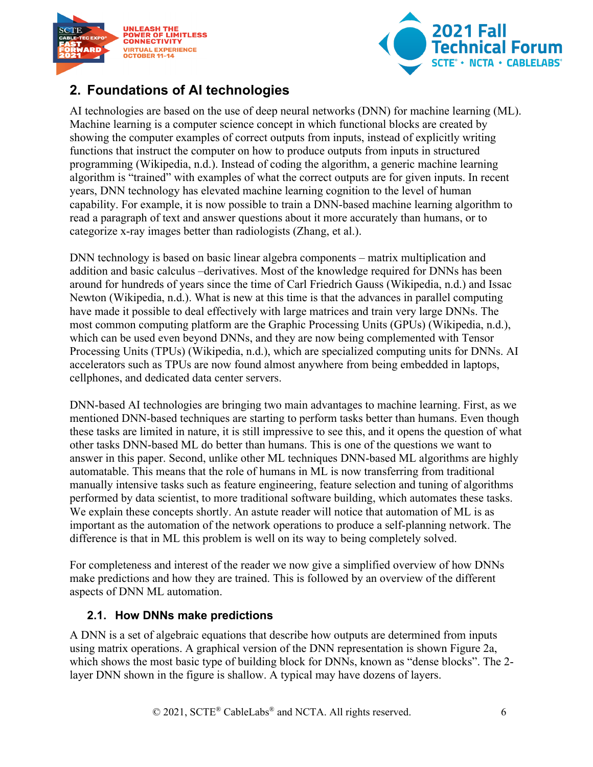



# <span id="page-5-0"></span>**2. Foundations of AI technologies**

AI technologies are based on the use of deep neural networks (DNN) for machine learning (ML). Machine learning is a computer science concept in which functional blocks are created by showing the computer examples of correct outputs from inputs, instead of explicitly writing functions that instruct the computer on how to produce outputs from inputs in structured programming (Wikipedia, n.d.). Instead of coding the algorithm, a generic machine learning algorithm is "trained" with examples of what the correct outputs are for given inputs. In recent years, DNN technology has elevated machine learning cognition to the level of human capability. For example, it is now possible to train a DNN-based machine learning algorithm to read a paragraph of text and answer questions about it more accurately than humans, or to categorize x-ray images better than radiologists (Zhang, et al.).

DNN technology is based on basic linear algebra components – matrix multiplication and addition and basic calculus –derivatives. Most of the knowledge required for DNNs has been around for hundreds of years since the time of Carl Friedrich Gauss (Wikipedia, n.d.) and Issac Newton (Wikipedia, n.d.). What is new at this time is that the advances in parallel computing have made it possible to deal effectively with large matrices and train very large DNNs. The most common computing platform are the Graphic Processing Units (GPUs) (Wikipedia, n.d.), which can be used even beyond DNNs, and they are now being complemented with Tensor Processing Units (TPUs) (Wikipedia, n.d.), which are specialized computing units for DNNs. AI accelerators such as TPUs are now found almost anywhere from being embedded in laptops, cellphones, and dedicated data center servers.

DNN-based AI technologies are bringing two main advantages to machine learning. First, as we mentioned DNN-based techniques are starting to perform tasks better than humans. Even though these tasks are limited in nature, it is still impressive to see this, and it opens the question of what other tasks DNN-based ML do better than humans. This is one of the questions we want to answer in this paper. Second, unlike other ML techniques DNN-based ML algorithms are highly automatable. This means that the role of humans in ML is now transferring from traditional manually intensive tasks such as feature engineering, feature selection and tuning of algorithms performed by data scientist, to more traditional software building, which automates these tasks. We explain these concepts shortly. An astute reader will notice that automation of ML is as important as the automation of the network operations to produce a self-planning network. The difference is that in ML this problem is well on its way to being completely solved.

For completeness and interest of the reader we now give a simplified overview of how DNNs make predictions and how they are trained. This is followed by an overview of the different aspects of DNN ML automation.

#### <span id="page-5-1"></span>**2.1. How DNNs make predictions**

A DNN is a set of algebraic equations that describe how outputs are determined from inputs using matrix operations. A graphical version of the DNN representation is shown [Figure 2a](#page-6-0), which shows the most basic type of building block for DNNs, known as "dense blocks". The 2 layer DNN shown in the figure is shallow. A typical may have dozens of layers.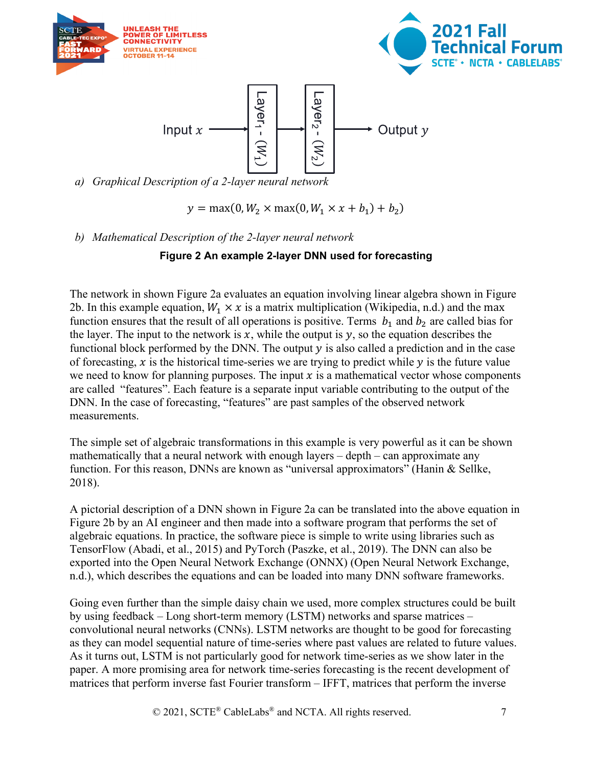





*a) Graphical Description of a 2-layer neural network* 

 $y = \max(0, W_2 \times \max(0, W_1 \times x + b_1) + b_2)$ 

<span id="page-6-0"></span>*b) Mathematical Description of the 2-layer neural network*

#### **Figure 2 An example 2-layer DNN used for forecasting**

The network in shown [Figure 2a](#page-6-0) evaluates an equation involving linear algebra shown in [Figure](#page-6-0)  [2b](#page-6-0). In this example equation,  $W_1 \times x$  is a matrix multiplication (Wikipedia, n.d.) and the max function ensures that the result of all operations is positive. Terms  $b_1$  and  $b_2$  are called bias for the layer. The input to the network is  $x$ , while the output is  $y$ , so the equation describes the functional block performed by the DNN. The output  $y$  is also called a prediction and in the case of forecasting,  $x$  is the historical time-series we are trying to predict while  $y$  is the future value we need to know for planning purposes. The input  $x$  is a mathematical vector whose components are called "features". Each feature is a separate input variable contributing to the output of the DNN. In the case of forecasting, "features" are past samples of the observed network measurements.

The simple set of algebraic transformations in this example is very powerful as it can be shown mathematically that a neural network with enough layers – depth – can approximate any function. For this reason, DNNs are known as "universal approximators" (Hanin & Sellke, 2018).

A pictorial description of a DNN shown in [Figure 2a](#page-6-0) can be translated into the above equation in [Figure 2b](#page-6-0) by an AI engineer and then made into a software program that performs the set of algebraic equations. In practice, the software piece is simple to write using libraries such as TensorFlow (Abadi, et al., 2015) and PyTorch (Paszke, et al., 2019). The DNN can also be exported into the Open Neural Network Exchange (ONNX) (Open Neural Network Exchange, n.d.), which describes the equations and can be loaded into many DNN software frameworks.

Going even further than the simple daisy chain we used, more complex structures could be built by using feedback – Long short-term memory (LSTM) networks and sparse matrices – convolutional neural networks (CNNs). LSTM networks are thought to be good for forecasting as they can model sequential nature of time-series where past values are related to future values. As it turns out, LSTM is not particularly good for network time-series as we show later in the paper. A more promising area for network time-series forecasting is the recent development of matrices that perform inverse fast Fourier transform – IFFT, matrices that perform the inverse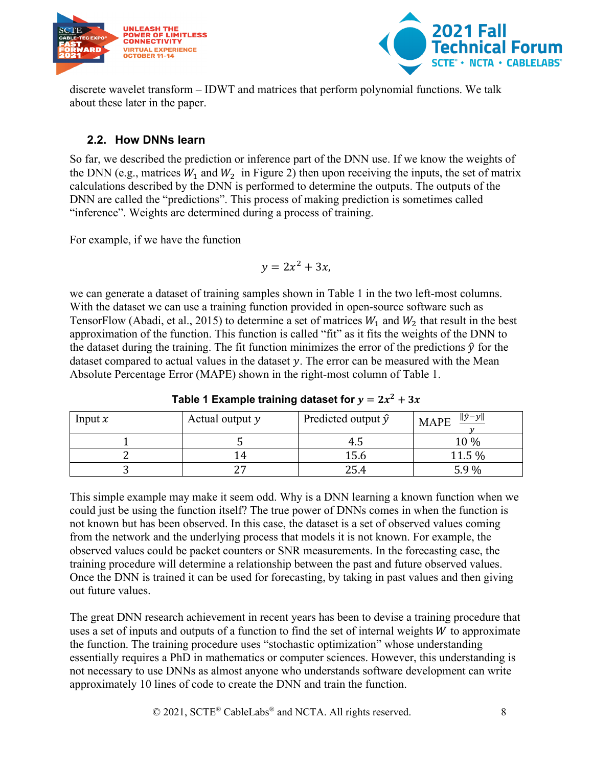



discrete wavelet transform – IDWT and matrices that perform polynomial functions. We talk about these later in the paper.

#### <span id="page-7-0"></span>**2.2. How DNNs learn**

So far, we described the prediction or inference part of the DNN use. If we know the weights of the DNN (e.g., matrices  $W_1$  and  $W_2$  in [Figure 2\)](#page-6-0) then upon receiving the inputs, the set of matrix calculations described by the DNN is performed to determine the outputs. The outputs of the DNN are called the "predictions". This process of making prediction is sometimes called "inference". Weights are determined during a process of training.

For example, if we have the function

$$
y = 2x^2 + 3x,
$$

we can generate a dataset of training samples shown in [Table 1](#page-7-1) in the two left-most columns. With the dataset we can use a training function provided in open-source software such as TensorFlow (Abadi, et al., 2015) to determine a set of matrices  $W_1$  and  $W_2$  that result in the best approximation of the function. This function is called "fit" as it fits the weights of the DNN to the dataset during the training. The fit function minimizes the error of the predictions  $\hat{y}$  for the dataset compared to actual values in the dataset  $y$ . The error can be measured with the Mean Absolute Percentage Error (MAPE) shown in the right-most column of [Table 1.](#page-7-1)

<span id="page-7-1"></span>

| Input $x$ | Actual output y | Predicted output $\hat{y}$ | MAPE $\frac{\ \hat{y}-y\ }{\ y\ }$ |
|-----------|-----------------|----------------------------|------------------------------------|
|           |                 | 4.5                        | 10 %                               |
|           | 4               | 15.6                       | 11.5 %                             |
|           | ∩ −             | 25.4                       | 5.9%                               |

Table 1 **Example training dataset for**  $y = 2x^2 + 3x$ 

This simple example may make it seem odd. Why is a DNN learning a known function when we could just be using the function itself? The true power of DNNs comes in when the function is not known but has been observed. In this case, the dataset is a set of observed values coming from the network and the underlying process that models it is not known. For example, the observed values could be packet counters or SNR measurements. In the forecasting case, the training procedure will determine a relationship between the past and future observed values. Once the DNN is trained it can be used for forecasting, by taking in past values and then giving out future values.

The great DNN research achievement in recent years has been to devise a training procedure that uses a set of inputs and outputs of a function to find the set of internal weights  $W$  to approximate the function. The training procedure uses "stochastic optimization" whose understanding essentially requires a PhD in mathematics or computer sciences. However, this understanding is not necessary to use DNNs as almost anyone who understands software development can write approximately 10 lines of code to create the DNN and train the function.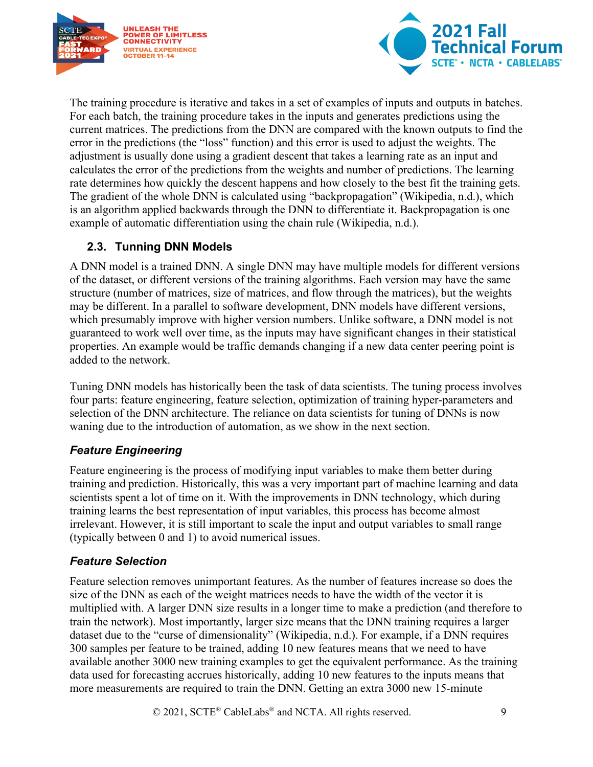



The training procedure is iterative and takes in a set of examples of inputs and outputs in batches. For each batch, the training procedure takes in the inputs and generates predictions using the current matrices. The predictions from the DNN are compared with the known outputs to find the error in the predictions (the "loss" function) and this error is used to adjust the weights. The adjustment is usually done using a gradient descent that takes a learning rate as an input and calculates the error of the predictions from the weights and number of predictions. The learning rate determines how quickly the descent happens and how closely to the best fit the training gets. The gradient of the whole DNN is calculated using "backpropagation" (Wikipedia, n.d.), which is an algorithm applied backwards through the DNN to differentiate it. Backpropagation is one example of automatic differentiation using the chain rule (Wikipedia, n.d.).

## <span id="page-8-0"></span>**2.3. Tunning DNN Models**

A DNN model is a trained DNN. A single DNN may have multiple models for different versions of the dataset, or different versions of the training algorithms. Each version may have the same structure (number of matrices, size of matrices, and flow through the matrices), but the weights may be different. In a parallel to software development, DNN models have different versions, which presumably improve with higher version numbers. Unlike software, a DNN model is not guaranteed to work well over time, as the inputs may have significant changes in their statistical properties. An example would be traffic demands changing if a new data center peering point is added to the network.

Tuning DNN models has historically been the task of data scientists. The tuning process involves four parts: feature engineering, feature selection, optimization of training hyper-parameters and selection of the DNN architecture. The reliance on data scientists for tuning of DNNs is now waning due to the introduction of automation, as we show in the next section.

## *Feature Engineering*

Feature engineering is the process of modifying input variables to make them better during training and prediction. Historically, this was a very important part of machine learning and data scientists spent a lot of time on it. With the improvements in DNN technology, which during training learns the best representation of input variables, this process has become almost irrelevant. However, it is still important to scale the input and output variables to small range (typically between 0 and 1) to avoid numerical issues.

## *Feature Selection*

Feature selection removes unimportant features. As the number of features increase so does the size of the DNN as each of the weight matrices needs to have the width of the vector it is multiplied with. A larger DNN size results in a longer time to make a prediction (and therefore to train the network). Most importantly, larger size means that the DNN training requires a larger dataset due to the "curse of dimensionality" (Wikipedia, n.d.). For example, if a DNN requires 300 samples per feature to be trained, adding 10 new features means that we need to have available another 3000 new training examples to get the equivalent performance. As the training data used for forecasting accrues historically, adding 10 new features to the inputs means that more measurements are required to train the DNN. Getting an extra 3000 new 15-minute

© 2021, SCTE<sup>®</sup> CableLabs<sup>®</sup> and NCTA. All rights reserved. 9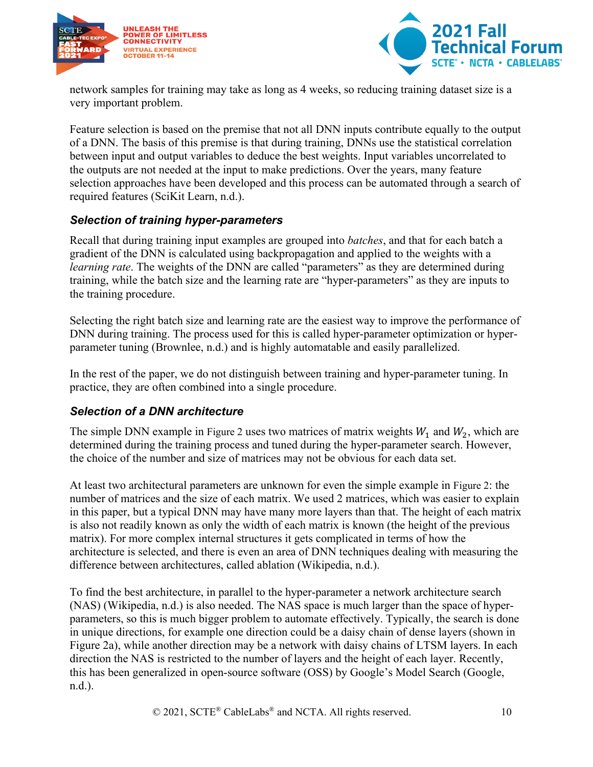



network samples for training may take as long as 4 weeks, so reducing training dataset size is a very important problem.

Feature selection is based on the premise that not all DNN inputs contribute equally to the output of a DNN. The basis of this premise is that during training, DNNs use the statistical correlation between input and output variables to deduce the best weights. Input variables uncorrelated to the outputs are not needed at the input to make predictions. Over the years, many feature selection approaches have been developed and this process can be automated through a search of required features (SciKit Learn, n.d.).

#### *Selection of training hyper-parameters*

Recall that during training input examples are grouped into *batches*, and that for each batch a gradient of the DNN is calculated using backpropagation and applied to the weights with a *learning rate*. The weights of the DNN are called "parameters" as they are determined during training, while the batch size and the learning rate are "hyper-parameters" as they are inputs to the training procedure.

Selecting the right batch size and learning rate are the easiest way to improve the performance of DNN during training. The process used for this is called hyper-parameter optimization or hyperparameter tuning (Brownlee, n.d.) and is highly automatable and easily parallelized.

In the rest of the paper, we do not distinguish between training and hyper-parameter tuning. In practice, they are often combined into a single procedure.

#### *Selection of a DNN architecture*

The simple DNN example in [Figure 2](#page-6-0) uses two matrices of matrix weights  $W_1$  and  $W_2$ , which are determined during the training process and tuned during the hyper-parameter search. However, the choice of the number and size of matrices may not be obvious for each data set.

At least two architectural parameters are unknown for even the simple example in [Figure 2:](#page-6-0) the number of matrices and the size of each matrix. We used 2 matrices, which was easier to explain in this paper, but a typical DNN may have many more layers than that. The height of each matrix is also not readily known as only the width of each matrix is known (the height of the previous matrix). For more complex internal structures it gets complicated in terms of how the architecture is selected, and there is even an area of DNN techniques dealing with measuring the difference between architectures, called ablation (Wikipedia, n.d.).

To find the best architecture, in parallel to the hyper-parameter a network architecture search (NAS) (Wikipedia, n.d.) is also needed. The NAS space is much larger than the space of hyperparameters, so this is much bigger problem to automate effectively. Typically, the search is done in unique directions, for example one direction could be a daisy chain of dense layers (shown in [Figure 2a](#page-6-0)), while another direction may be a network with daisy chains of LTSM layers. In each direction the NAS is restricted to the number of layers and the height of each layer. Recently, this has been generalized in open-source software (OSS) by Google's Model Search (Google, n.d.).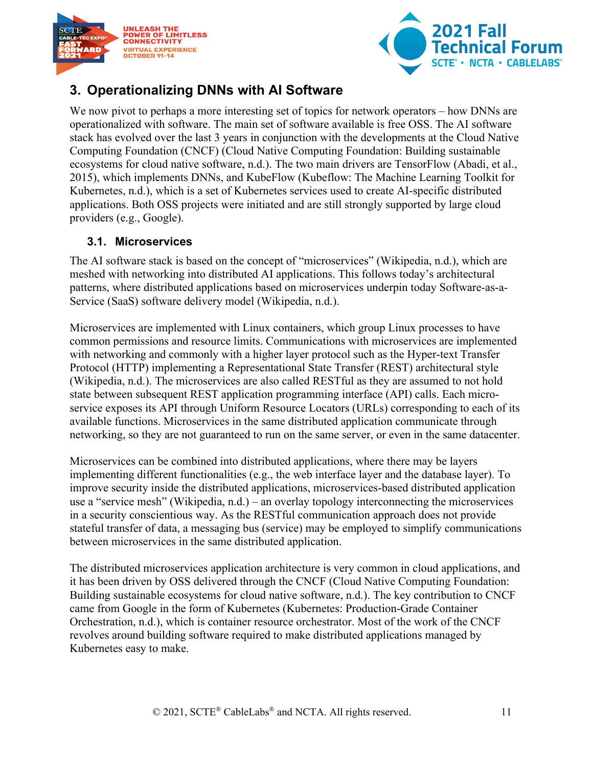



# <span id="page-10-0"></span>**3. Operationalizing DNNs with AI Software**

We now pivot to perhaps a more interesting set of topics for network operators – how DNNs are operationalized with software. The main set of software available is free OSS. The AI software stack has evolved over the last 3 years in conjunction with the developments at the Cloud Native Computing Foundation (CNCF) (Cloud Native Computing Foundation: Building sustainable ecosystems for cloud native software, n.d.). The two main drivers are TensorFlow (Abadi, et al., 2015), which implements DNNs, and KubeFlow (Kubeflow: The Machine Learning Toolkit for Kubernetes, n.d.), which is a set of Kubernetes services used to create AI-specific distributed applications. Both OSS projects were initiated and are still strongly supported by large cloud providers (e.g., Google).

#### <span id="page-10-1"></span>**3.1. Microservices**

The AI software stack is based on the concept of "microservices" (Wikipedia, n.d.), which are meshed with networking into distributed AI applications. This follows today's architectural patterns, where distributed applications based on microservices underpin today Software-as-a-Service (SaaS) software delivery model (Wikipedia, n.d.).

Microservices are implemented with Linux containers, which group Linux processes to have common permissions and resource limits. Communications with microservices are implemented with networking and commonly with a higher layer protocol such as the Hyper-text Transfer Protocol (HTTP) implementing a Representational State Transfer (REST) architectural style (Wikipedia, n.d.). The microservices are also called RESTful as they are assumed to not hold state between subsequent REST application programming interface (API) calls. Each microservice exposes its API through Uniform Resource Locators (URLs) corresponding to each of its available functions. Microservices in the same distributed application communicate through networking, so they are not guaranteed to run on the same server, or even in the same datacenter.

Microservices can be combined into distributed applications, where there may be layers implementing different functionalities (e.g., the web interface layer and the database layer). To improve security inside the distributed applications, microservices-based distributed application use a "service mesh" (Wikipedia, n.d.) – an overlay topology interconnecting the microservices in a security conscientious way. As the RESTful communication approach does not provide stateful transfer of data, a messaging bus (service) may be employed to simplify communications between microservices in the same distributed application.

The distributed microservices application architecture is very common in cloud applications, and it has been driven by OSS delivered through the CNCF (Cloud Native Computing Foundation: Building sustainable ecosystems for cloud native software, n.d.). The key contribution to CNCF came from Google in the form of Kubernetes (Kubernetes: Production-Grade Container Orchestration, n.d.), which is container resource orchestrator. Most of the work of the CNCF revolves around building software required to make distributed applications managed by Kubernetes easy to make.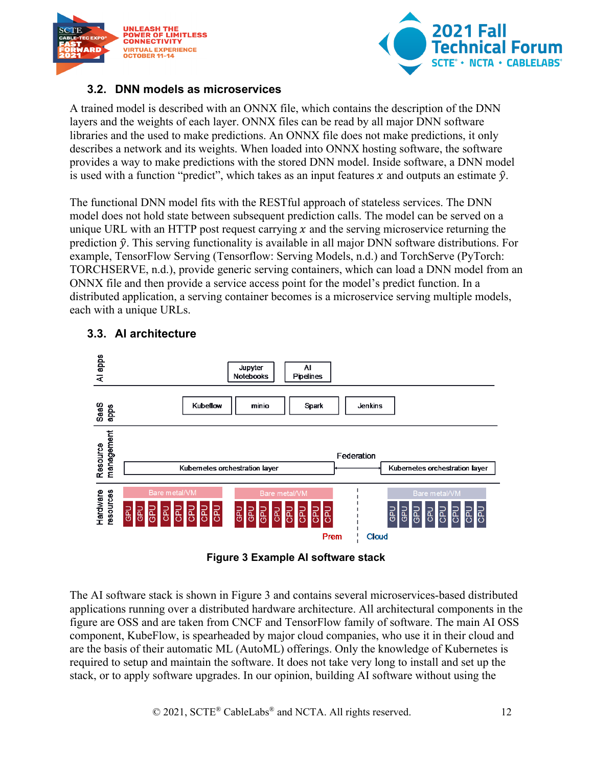



## <span id="page-11-0"></span>**3.2. DNN models as microservices**

A trained model is described with an ONNX file, which contains the description of the DNN layers and the weights of each layer. ONNX files can be read by all major DNN software libraries and the used to make predictions. An ONNX file does not make predictions, it only describes a network and its weights. When loaded into ONNX hosting software, the software provides a way to make predictions with the stored DNN model. Inside software, a DNN model is used with a function "predict", which takes as an input features  $x$  and outputs an estimate  $\hat{y}$ .

The functional DNN model fits with the RESTful approach of stateless services. The DNN model does not hold state between subsequent prediction calls. The model can be served on a unique URL with an HTTP post request carrying  $x$  and the serving microservice returning the prediction  $\hat{y}$ . This serving functionality is available in all major DNN software distributions. For example, TensorFlow Serving (Tensorflow: Serving Models, n.d.) and TorchServe (PyTorch: TORCHSERVE, n.d.), provide generic serving containers, which can load a DNN model from an ONNX file and then provide a service access point for the model's predict function. In a distributed application, a serving container becomes is a microservice serving multiple models, each with a unique URLs.



# <span id="page-11-1"></span>**3.3. AI architecture**

**Figure 3 Example AI software stack**

<span id="page-11-2"></span>The AI software stack is shown in [Figure 3](#page-11-2) and contains several microservices-based distributed applications running over a distributed hardware architecture. All architectural components in the figure are OSS and are taken from CNCF and TensorFlow family of software. The main AI OSS component, KubeFlow, is spearheaded by major cloud companies, who use it in their cloud and are the basis of their automatic ML (AutoML) offerings. Only the knowledge of Kubernetes is required to setup and maintain the software. It does not take very long to install and set up the stack, or to apply software upgrades. In our opinion, building AI software without using the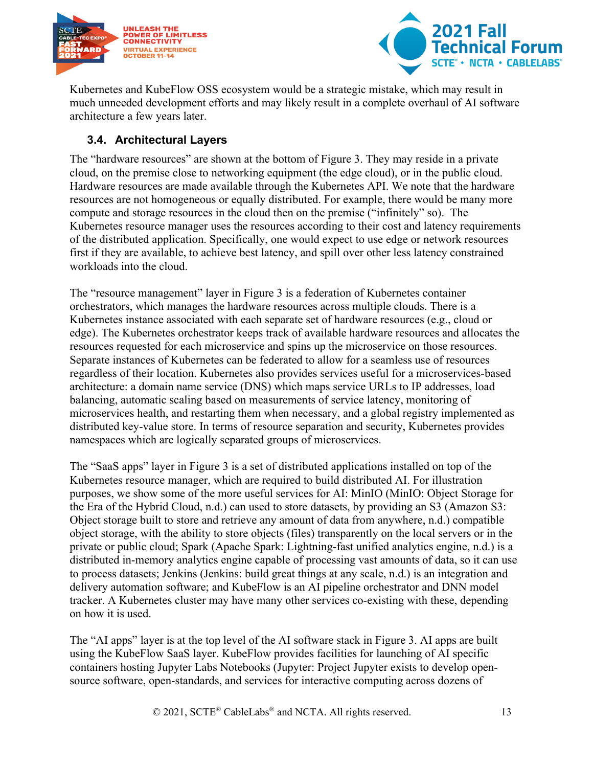



Kubernetes and KubeFlow OSS ecosystem would be a strategic mistake, which may result in much unneeded development efforts and may likely result in a complete overhaul of AI software architecture a few years later.

## <span id="page-12-0"></span>**3.4. Architectural Layers**

The "hardware resources" are shown at the bottom of [Figure 3.](#page-11-2) They may reside in a private cloud, on the premise close to networking equipment (the edge cloud), or in the public cloud. Hardware resources are made available through the Kubernetes API. We note that the hardware resources are not homogeneous or equally distributed. For example, there would be many more compute and storage resources in the cloud then on the premise ("infinitely" so). The Kubernetes resource manager uses the resources according to their cost and latency requirements of the distributed application. Specifically, one would expect to use edge or network resources first if they are available, to achieve best latency, and spill over other less latency constrained workloads into the cloud.

The "resource management" layer in [Figure 3](#page-11-2) is a federation of Kubernetes container orchestrators, which manages the hardware resources across multiple clouds. There is a Kubernetes instance associated with each separate set of hardware resources (e.g., cloud or edge). The Kubernetes orchestrator keeps track of available hardware resources and allocates the resources requested for each microservice and spins up the microservice on those resources. Separate instances of Kubernetes can be federated to allow for a seamless use of resources regardless of their location. Kubernetes also provides services useful for a microservices-based architecture: a domain name service (DNS) which maps service URLs to IP addresses, load balancing, automatic scaling based on measurements of service latency, monitoring of microservices health, and restarting them when necessary, and a global registry implemented as distributed key-value store. In terms of resource separation and security, Kubernetes provides namespaces which are logically separated groups of microservices.

The "SaaS apps" layer in [Figure 3](#page-11-2) is a set of distributed applications installed on top of the Kubernetes resource manager, which are required to build distributed AI. For illustration purposes, we show some of the more useful services for AI: MinIO (MinIO: Object Storage for the Era of the Hybrid Cloud, n.d.) can used to store datasets, by providing an S3 (Amazon S3: Object storage built to store and retrieve any amount of data from anywhere, n.d.) compatible object storage, with the ability to store objects (files) transparently on the local servers or in the private or public cloud; Spark (Apache Spark: Lightning-fast unified analytics engine, n.d.) is a distributed in-memory analytics engine capable of processing vast amounts of data, so it can use to process datasets; Jenkins (Jenkins: build great things at any scale, n.d.) is an integration and delivery automation software; and KubeFlow is an AI pipeline orchestrator and DNN model tracker. A Kubernetes cluster may have many other services co-existing with these, depending on how it is used.

The "AI apps" layer is at the top level of the AI software stack in [Figure 3.](#page-11-2) AI apps are built using the KubeFlow SaaS layer. KubeFlow provides facilities for launching of AI specific containers hosting Jupyter Labs Notebooks (Jupyter: Project Jupyter exists to develop opensource software, open-standards, and services for interactive computing across dozens of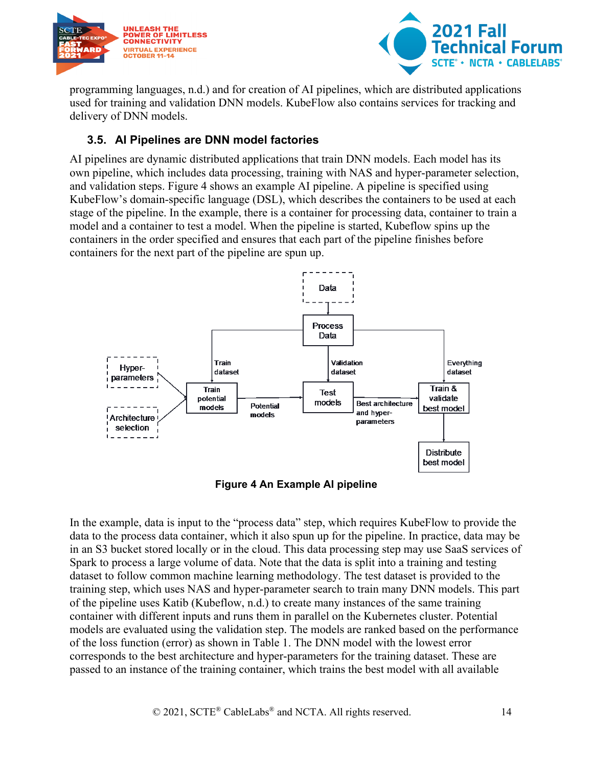



programming languages, n.d.) and for creation of AI pipelines, which are distributed applications used for training and validation DNN models. KubeFlow also contains services for tracking and delivery of DNN models.

## <span id="page-13-0"></span>**3.5. AI Pipelines are DNN model factories**

AI pipelines are dynamic distributed applications that train DNN models. Each model has its own pipeline, which includes data processing, training with NAS and hyper-parameter selection, and validation steps. [Figure 4](#page-13-1) shows an example AI pipeline. A pipeline is specified using KubeFlow's domain-specific language (DSL), which describes the containers to be used at each stage of the pipeline. In the example, there is a container for processing data, container to train a model and a container to test a model. When the pipeline is started, Kubeflow spins up the containers in the order specified and ensures that each part of the pipeline finishes before containers for the next part of the pipeline are spun up.



**Figure 4 An Example AI pipeline**

<span id="page-13-1"></span>In the example, data is input to the "process data" step, which requires KubeFlow to provide the data to the process data container, which it also spun up for the pipeline. In practice, data may be in an S3 bucket stored locally or in the cloud. This data processing step may use SaaS services of Spark to process a large volume of data. Note that the data is split into a training and testing dataset to follow common machine learning methodology. The test dataset is provided to the training step, which uses NAS and hyper-parameter search to train many DNN models. This part of the pipeline uses Katib (Kubeflow, n.d.) to create many instances of the same training container with different inputs and runs them in parallel on the Kubernetes cluster. Potential models are evaluated using the validation step. The models are ranked based on the performance of the loss function (error) as shown in [Table 1.](#page-7-1) The DNN model with the lowest error corresponds to the best architecture and hyper-parameters for the training dataset. These are passed to an instance of the training container, which trains the best model with all available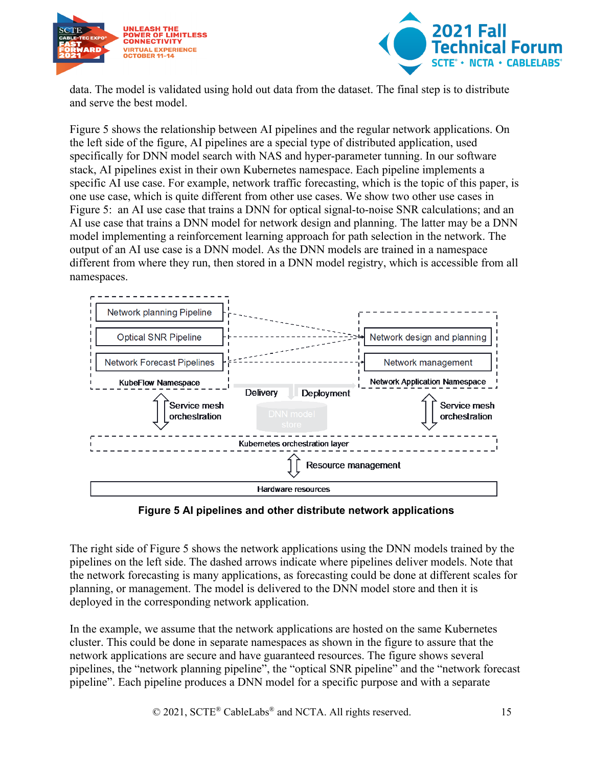



data. The model is validated using hold out data from the dataset. The final step is to distribute and serve the best model.

[Figure 5](#page-14-0) shows the relationship between AI pipelines and the regular network applications. On the left side of the figure, AI pipelines are a special type of distributed application, used specifically for DNN model search with NAS and hyper-parameter tunning. In our software stack, AI pipelines exist in their own Kubernetes namespace. Each pipeline implements a specific AI use case. For example, network traffic forecasting, which is the topic of this paper, is one use case, which is quite different from other use cases. We show two other use cases in [Figure 5:](#page-14-0) an AI use case that trains a DNN for optical signal-to-noise SNR calculations; and an AI use case that trains a DNN model for network design and planning. The latter may be a DNN model implementing a reinforcement learning approach for path selection in the network. The output of an AI use case is a DNN model. As the DNN models are trained in a namespace different from where they run, then stored in a DNN model registry, which is accessible from all namespaces.



**Figure 5 AI pipelines and other distribute network applications**

<span id="page-14-0"></span>The right side of [Figure 5](#page-14-0) shows the network applications using the DNN models trained by the pipelines on the left side. The dashed arrows indicate where pipelines deliver models. Note that the network forecasting is many applications, as forecasting could be done at different scales for planning, or management. The model is delivered to the DNN model store and then it is deployed in the corresponding network application.

In the example, we assume that the network applications are hosted on the same Kubernetes cluster. This could be done in separate namespaces as shown in the figure to assure that the network applications are secure and have guaranteed resources. The figure shows several pipelines, the "network planning pipeline", the "optical SNR pipeline" and the "network forecast pipeline". Each pipeline produces a DNN model for a specific purpose and with a separate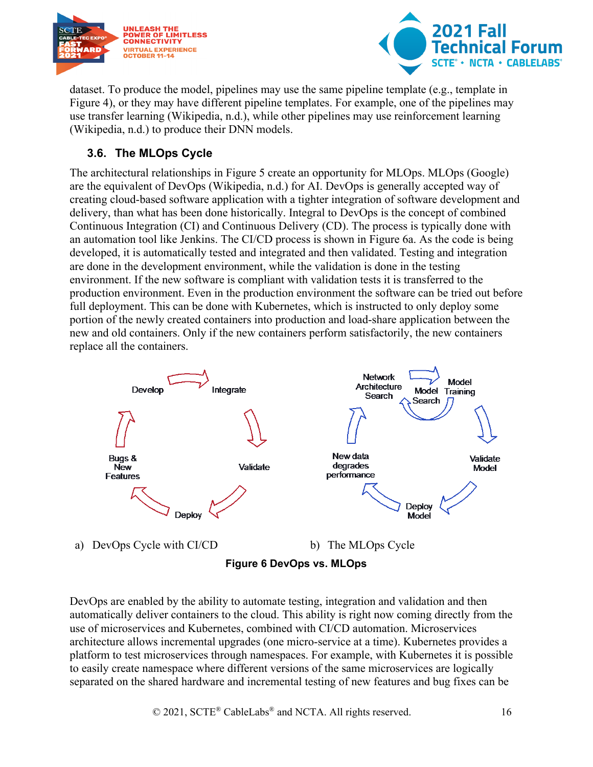



dataset. To produce the model, pipelines may use the same pipeline template (e.g., template in [Figure 4\)](#page-13-1), or they may have different pipeline templates. For example, one of the pipelines may use transfer learning (Wikipedia, n.d.), while other pipelines may use reinforcement learning (Wikipedia, n.d.) to produce their DNN models.

## <span id="page-15-0"></span>**3.6. The MLOps Cycle**

The architectural relationships in [Figure 5](#page-14-0) create an opportunity for MLOps. MLOps (Google) are the equivalent of DevOps (Wikipedia, n.d.) for AI. DevOps is generally accepted way of creating cloud-based software application with a tighter integration of software development and delivery, than what has been done historically. Integral to DevOps is the concept of combined Continuous Integration (CI) and Continuous Delivery (CD). The process is typically done with an automation tool like Jenkins. The CI/CD process is shown in [Figure 6a](#page-15-1). As the code is being developed, it is automatically tested and integrated and then validated. Testing and integration are done in the development environment, while the validation is done in the testing environment. If the new software is compliant with validation tests it is transferred to the production environment. Even in the production environment the software can be tried out before full deployment. This can be done with Kubernetes, which is instructed to only deploy some portion of the newly created containers into production and load-share application between the new and old containers. Only if the new containers perform satisfactorily, the new containers replace all the containers.



<span id="page-15-1"></span>a) DevOps Cycle with CI/CD b) The MLOps Cycle



DevOps are enabled by the ability to automate testing, integration and validation and then automatically deliver containers to the cloud. This ability is right now coming directly from the use of microservices and Kubernetes, combined with CI/CD automation. Microservices architecture allows incremental upgrades (one micro-service at a time). Kubernetes provides a platform to test microservices through namespaces. For example, with Kubernetes it is possible to easily create namespace where different versions of the same microservices are logically separated on the shared hardware and incremental testing of new features and bug fixes can be

© 2021, SCTE<sup>®</sup> CableLabs<sup>®</sup> and NCTA. All rights reserved. 16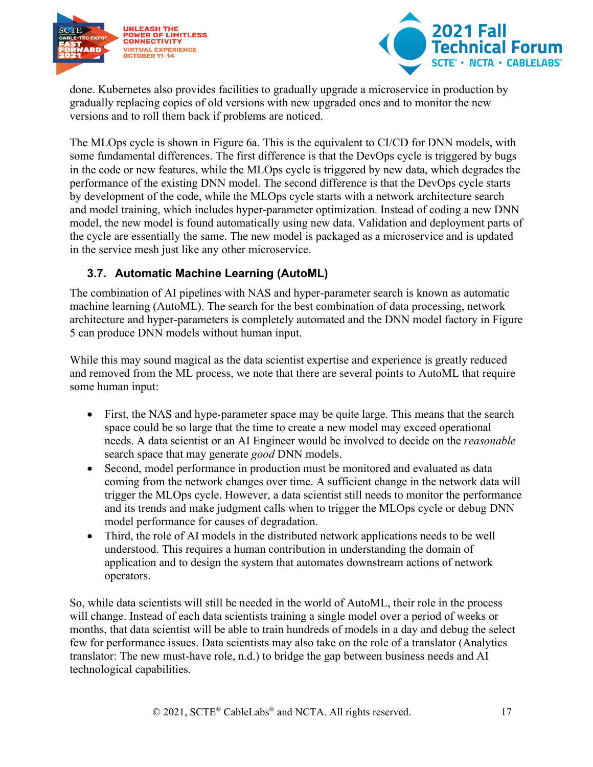



done. Kubernetes also provides facilities to gradually upgrade a microservice in production by gradually replacing copies of old versions with new upgraded ones and to monitor the new versions and to roll them back if problems are noticed.

The MLOps cycle is shown in [Figure 6a](#page-15-1). This is the equivalent to CI/CD for DNN models, with some fundamental differences. The first difference is that the DevOps cycle is triggered by bugs in the code or new features, while the MLOps cycle is triggered by new data, which degrades the performance of the existing DNN model. The second difference is that the DevOps cycle starts by development of the code, while the MLOps cycle starts with a network architecture search and model training, which includes hyper-parameter optimization. Instead of coding a new DNN model, the new model is found automatically using new data. Validation and deployment parts of the cycle are essentially the same. The new model is packaged as a microservice and is updated in the service mesh just like any other microservice.

## <span id="page-16-0"></span>**3.7. Automatic Machine Learning (AutoML)**

The combination of AI pipelines with NAS and hyper-parameter search is known as automatic machine learning (AutoML). The search for the best combination of data processing, network architecture and hyper-parameters is completely automated and the DNN model factory in [Figure](#page-14-0)  [5](#page-14-0) can produce DNN models without human input.

While this may sound magical as the data scientist expertise and experience is greatly reduced and removed from the ML process, we note that there are several points to AutoML that require some human input:

- First, the NAS and hype-parameter space may be quite large. This means that the search space could be so large that the time to create a new model may exceed operational needs. A data scientist or an AI Engineer would be involved to decide on the *reasonable* search space that may generate *good* DNN models.
- Second, model performance in production must be monitored and evaluated as data coming from the network changes over time. A sufficient change in the network data will trigger the MLOps cycle. However, a data scientist still needs to monitor the performance and its trends and make judgment calls when to trigger the MLOps cycle or debug DNN model performance for causes of degradation.
- Third, the role of AI models in the distributed network applications needs to be well understood. This requires a human contribution in understanding the domain of application and to design the system that automates downstream actions of network operators.

So, while data scientists will still be needed in the world of AutoML, their role in the process will change. Instead of each data scientists training a single model over a period of weeks or months, that data scientist will be able to train hundreds of models in a day and debug the select few for performance issues. Data scientists may also take on the role of a translator (Analytics translator: The new must-have role, n.d.) to bridge the gap between business needs and AI technological capabilities.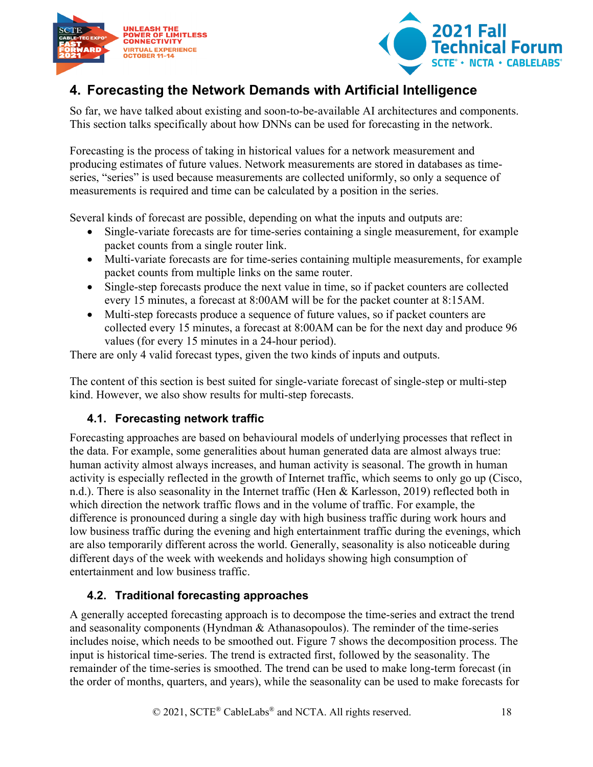



# <span id="page-17-0"></span>**4. Forecasting the Network Demands with Artificial Intelligence**

So far, we have talked about existing and soon-to-be-available AI architectures and components. This section talks specifically about how DNNs can be used for forecasting in the network.

Forecasting is the process of taking in historical values for a network measurement and producing estimates of future values. Network measurements are stored in databases as timeseries, "series" is used because measurements are collected uniformly, so only a sequence of measurements is required and time can be calculated by a position in the series.

Several kinds of forecast are possible, depending on what the inputs and outputs are:

- Single-variate forecasts are for time-series containing a single measurement, for example packet counts from a single router link.
- Multi-variate forecasts are for time-series containing multiple measurements, for example packet counts from multiple links on the same router.
- Single-step forecasts produce the next value in time, so if packet counters are collected every 15 minutes, a forecast at 8:00AM will be for the packet counter at 8:15AM.
- Multi-step forecasts produce a sequence of future values, so if packet counters are collected every 15 minutes, a forecast at 8:00AM can be for the next day and produce 96 values (for every 15 minutes in a 24-hour period).

There are only 4 valid forecast types, given the two kinds of inputs and outputs.

The content of this section is best suited for single-variate forecast of single-step or multi-step kind. However, we also show results for multi-step forecasts.

## <span id="page-17-1"></span>**4.1. Forecasting network traffic**

Forecasting approaches are based on behavioural models of underlying processes that reflect in the data. For example, some generalities about human generated data are almost always true: human activity almost always increases, and human activity is seasonal. The growth in human activity is especially reflected in the growth of Internet traffic, which seems to only go up (Cisco, n.d.). There is also seasonality in the Internet traffic (Hen & Karlesson, 2019) reflected both in which direction the network traffic flows and in the volume of traffic. For example, the difference is pronounced during a single day with high business traffic during work hours and low business traffic during the evening and high entertainment traffic during the evenings, which are also temporarily different across the world. Generally, seasonality is also noticeable during different days of the week with weekends and holidays showing high consumption of entertainment and low business traffic.

## <span id="page-17-2"></span>**4.2. Traditional forecasting approaches**

A generally accepted forecasting approach is to decompose the time-series and extract the trend and seasonality components (Hyndman & Athanasopoulos). The reminder of the time-series includes noise, which needs to be smoothed out. [Figure 7](#page-18-0) shows the decomposition process. The input is historical time-series. The trend is extracted first, followed by the seasonality. The remainder of the time-series is smoothed. The trend can be used to make long-term forecast (in the order of months, quarters, and years), while the seasonality can be used to make forecasts for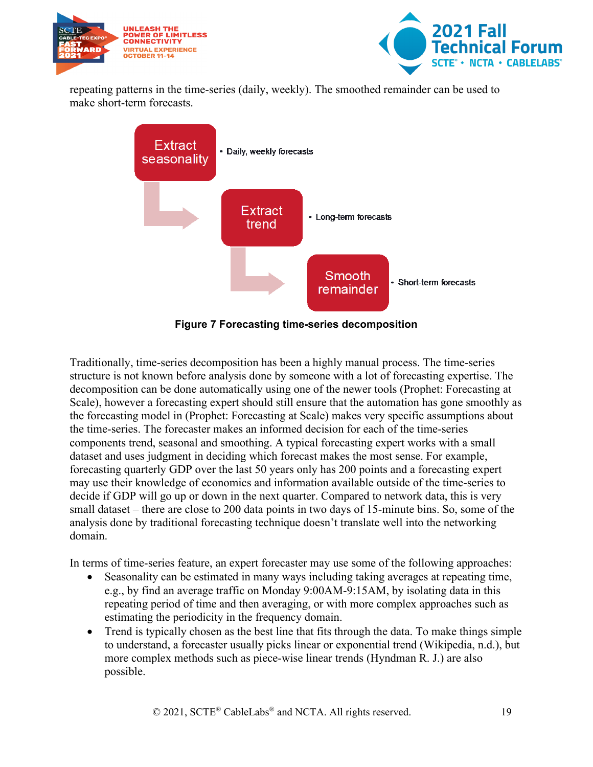



repeating patterns in the time-series (daily, weekly). The smoothed remainder can be used to make short-term forecasts.



**Figure 7 Forecasting time-series decomposition**

<span id="page-18-0"></span>Traditionally, time-series decomposition has been a highly manual process. The time-series structure is not known before analysis done by someone with a lot of forecasting expertise. The decomposition can be done automatically using one of the newer tools (Prophet: Forecasting at Scale), however a forecasting expert should still ensure that the automation has gone smoothly as the forecasting model in (Prophet: Forecasting at Scale) makes very specific assumptions about the time-series. The forecaster makes an informed decision for each of the time-series components trend, seasonal and smoothing. A typical forecasting expert works with a small dataset and uses judgment in deciding which forecast makes the most sense. For example, forecasting quarterly GDP over the last 50 years only has 200 points and a forecasting expert may use their knowledge of economics and information available outside of the time-series to decide if GDP will go up or down in the next quarter. Compared to network data, this is very small dataset – there are close to 200 data points in two days of 15-minute bins. So, some of the analysis done by traditional forecasting technique doesn't translate well into the networking domain.

In terms of time-series feature, an expert forecaster may use some of the following approaches:

- Seasonality can be estimated in many ways including taking averages at repeating time, e.g., by find an average traffic on Monday 9:00AM-9:15AM, by isolating data in this repeating period of time and then averaging, or with more complex approaches such as estimating the periodicity in the frequency domain.
- Trend is typically chosen as the best line that fits through the data. To make things simple to understand, a forecaster usually picks linear or exponential trend (Wikipedia, n.d.), but more complex methods such as piece-wise linear trends (Hyndman R. J.) are also possible.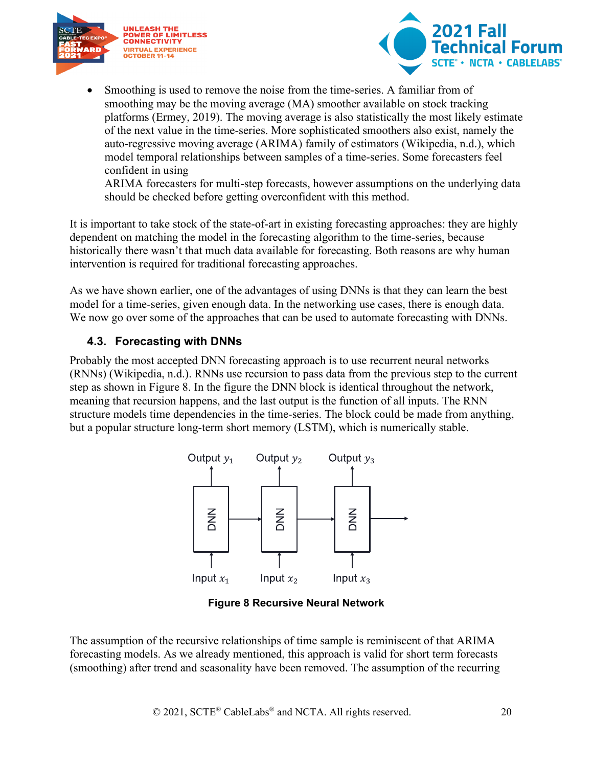



Smoothing is used to remove the noise from the time-series. A familiar from of smoothing may be the moving average (MA) smoother available on stock tracking platforms (Ermey, 2019). The moving average is also statistically the most likely estimate of the next value in the time-series. More sophisticated smoothers also exist, namely the auto-regressive moving average (ARIMA) family of estimators (Wikipedia, n.d.), which model temporal relationships between samples of a time-series. Some forecasters feel confident in using

ARIMA forecasters for multi-step forecasts, however assumptions on the underlying data should be checked before getting overconfident with this method.

It is important to take stock of the state-of-art in existing forecasting approaches: they are highly dependent on matching the model in the forecasting algorithm to the time-series, because historically there wasn't that much data available for forecasting. Both reasons are why human intervention is required for traditional forecasting approaches.

As we have shown earlier, one of the advantages of using DNNs is that they can learn the best model for a time-series, given enough data. In the networking use cases, there is enough data. We now go over some of the approaches that can be used to automate forecasting with DNNs.

## <span id="page-19-0"></span>**4.3. Forecasting with DNNs**

Probably the most accepted DNN forecasting approach is to use recurrent neural networks (RNNs) (Wikipedia, n.d.). RNNs use recursion to pass data from the previous step to the current step as shown in [Figure 8.](#page-19-1) In the figure the DNN block is identical throughout the network, meaning that recursion happens, and the last output is the function of all inputs. The RNN structure models time dependencies in the time-series. The block could be made from anything, but a popular structure long-term short memory (LSTM), which is numerically stable.



**Figure 8 Recursive Neural Network**

<span id="page-19-1"></span>The assumption of the recursive relationships of time sample is reminiscent of that ARIMA forecasting models. As we already mentioned, this approach is valid for short term forecasts (smoothing) after trend and seasonality have been removed. The assumption of the recurring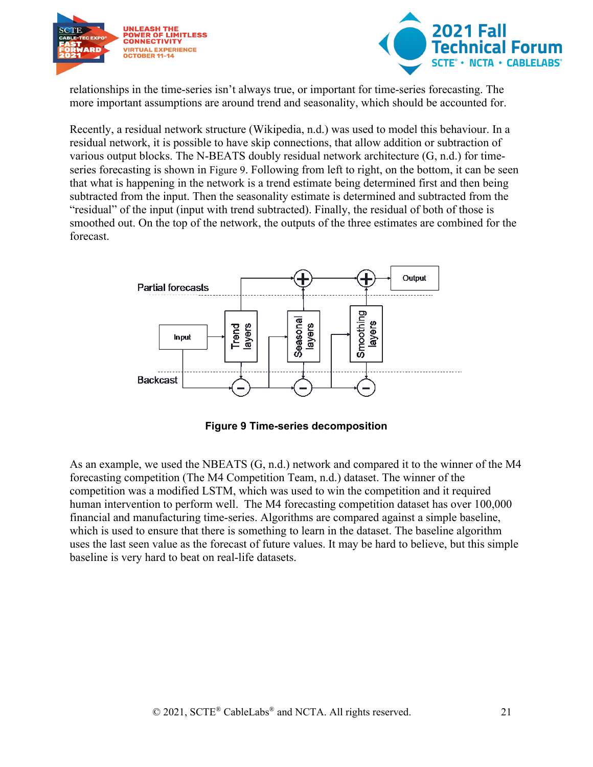



relationships in the time-series isn't always true, or important for time-series forecasting. The more important assumptions are around trend and seasonality, which should be accounted for.

Recently, a residual network structure (Wikipedia, n.d.) was used to model this behaviour. In a residual network, it is possible to have skip connections, that allow addition or subtraction of various output blocks. The N-BEATS doubly residual network architecture (G, n.d.) for timeseries forecasting is shown in [Figure 9.](#page-20-0) Following from left to right, on the bottom, it can be seen that what is happening in the network is a trend estimate being determined first and then being subtracted from the input. Then the seasonality estimate is determined and subtracted from the "residual" of the input (input with trend subtracted). Finally, the residual of both of those is smoothed out. On the top of the network, the outputs of the three estimates are combined for the forecast.



**Figure 9 Time-series decomposition**

<span id="page-20-0"></span>As an example, we used the NBEATS (G, n.d.) network and compared it to the winner of the M4 forecasting competition (The M4 Competition Team, n.d.) dataset. The winner of the competition was a modified LSTM, which was used to win the competition and it required human intervention to perform well. The M4 forecasting competition dataset has over 100,000 financial and manufacturing time-series. Algorithms are compared against a simple baseline, which is used to ensure that there is something to learn in the dataset. The baseline algorithm uses the last seen value as the forecast of future values. It may be hard to believe, but this simple baseline is very hard to beat on real-life datasets.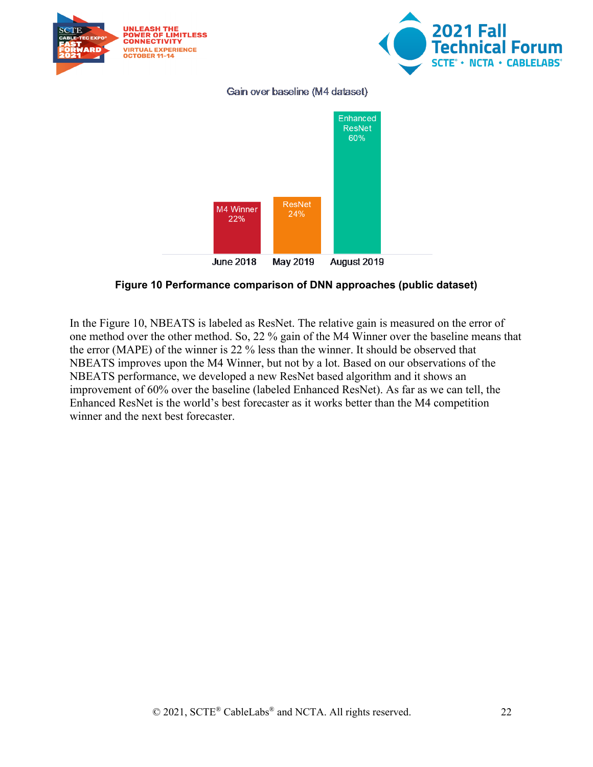

**Figure 10 Performance comparison of DNN approaches (public dataset)**

<span id="page-21-0"></span>In the [Figure 10,](#page-21-0) NBEATS is labeled as ResNet. The relative gain is measured on the error of one method over the other method. So, 22 % gain of the M4 Winner over the baseline means that the error (MAPE) of the winner is 22 % less than the winner. It should be observed that NBEATS improves upon the M4 Winner, but not by a lot. Based on our observations of the NBEATS performance, we developed a new ResNet based algorithm and it shows an improvement of 60% over the baseline (labeled Enhanced ResNet). As far as we can tell, the Enhanced ResNet is the world's best forecaster as it works better than the M4 competition winner and the next best forecaster.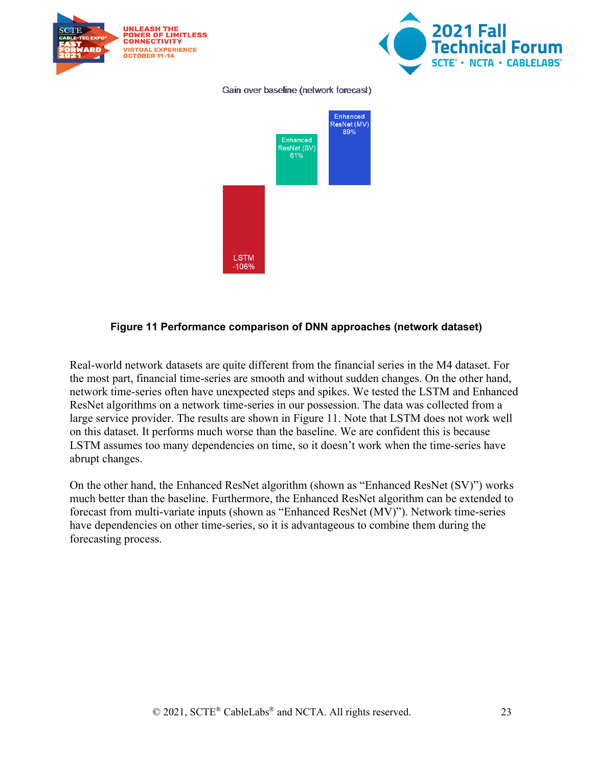

#### <span id="page-22-0"></span>**Figure 11 Performance comparison of DNN approaches (network dataset)**

Real-world network datasets are quite different from the financial series in the M4 dataset. For the most part, financial time-series are smooth and without sudden changes. On the other hand, network time-series often have unexpected steps and spikes. We tested the LSTM and Enhanced ResNet algorithms on a network time-series in our possession. The data was collected from a large service provider. The results are shown in [Figure 11.](#page-22-0) Note that LSTM does not work well on this dataset. It performs much worse than the baseline. We are confident this is because LSTM assumes too many dependencies on time, so it doesn't work when the time-series have abrupt changes.

On the other hand, the Enhanced ResNet algorithm (shown as "Enhanced ResNet (SV)") works much better than the baseline. Furthermore, the Enhanced ResNet algorithm can be extended to forecast from multi-variate inputs (shown as "Enhanced ResNet (MV)"). Network time-series have dependencies on other time-series, so it is advantageous to combine them during the forecasting process.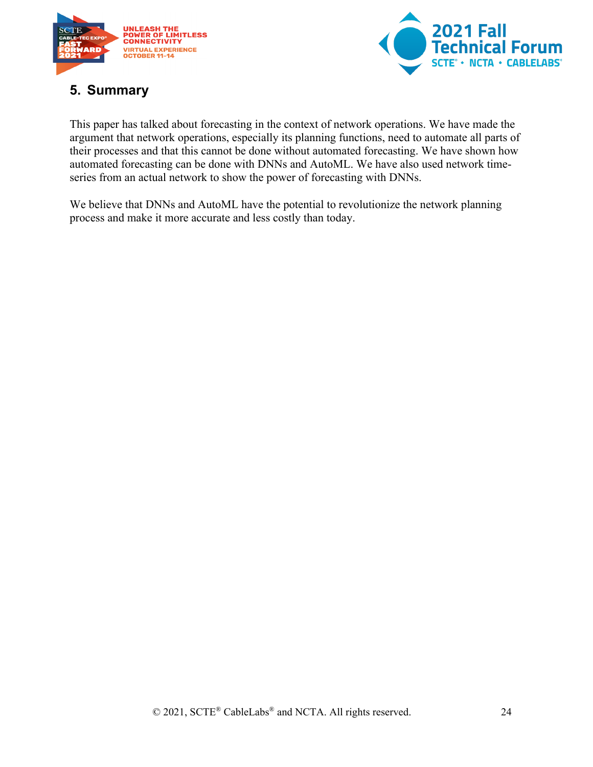



# <span id="page-23-0"></span>**5. Summary**

This paper has talked about forecasting in the context of network operations. We have made the argument that network operations, especially its planning functions, need to automate all parts of their processes and that this cannot be done without automated forecasting. We have shown how automated forecasting can be done with DNNs and AutoML. We have also used network timeseries from an actual network to show the power of forecasting with DNNs.

We believe that DNNs and AutoML have the potential to revolutionize the network planning process and make it more accurate and less costly than today.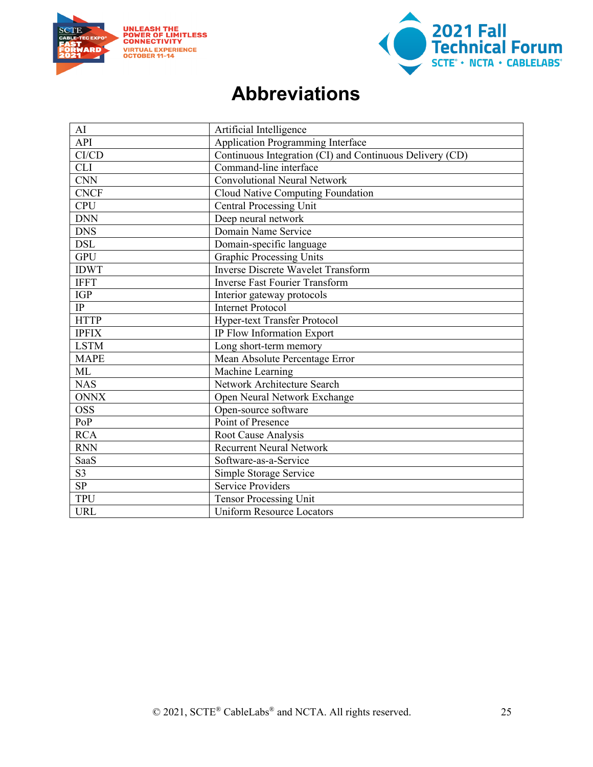



# **Abbreviations**

<span id="page-24-0"></span>

| AI             | Artificial Intelligence                                  |
|----------------|----------------------------------------------------------|
| <b>API</b>     | <b>Application Programming Interface</b>                 |
| CI/CD          | Continuous Integration (CI) and Continuous Delivery (CD) |
| <b>CLI</b>     | Command-line interface                                   |
| <b>CNN</b>     | <b>Convolutional Neural Network</b>                      |
| <b>CNCF</b>    | Cloud Native Computing Foundation                        |
| <b>CPU</b>     | <b>Central Processing Unit</b>                           |
| <b>DNN</b>     | Deep neural network                                      |
| <b>DNS</b>     | Domain Name Service                                      |
| <b>DSL</b>     | Domain-specific language                                 |
| <b>GPU</b>     | <b>Graphic Processing Units</b>                          |
| <b>IDWT</b>    | <b>Inverse Discrete Wavelet Transform</b>                |
| <b>IFFT</b>    | <b>Inverse Fast Fourier Transform</b>                    |
| <b>IGP</b>     | Interior gateway protocols                               |
| $\rm IP$       | <b>Internet Protocol</b>                                 |
| <b>HTTP</b>    | Hyper-text Transfer Protocol                             |
| <b>IPFIX</b>   | IP Flow Information Export                               |
| <b>LSTM</b>    | Long short-term memory                                   |
| <b>MAPE</b>    | Mean Absolute Percentage Error                           |
| ML             | Machine Learning                                         |
| <b>NAS</b>     | Network Architecture Search                              |
| <b>ONNX</b>    | Open Neural Network Exchange                             |
| <b>OSS</b>     | Open-source software                                     |
| PoP            | Point of Presence                                        |
| <b>RCA</b>     | Root Cause Analysis                                      |
| <b>RNN</b>     | <b>Recurrent Neural Network</b>                          |
| SaaS           | Software-as-a-Service                                    |
| S <sub>3</sub> | Simple Storage Service                                   |
| SP             | <b>Service Providers</b>                                 |
| <b>TPU</b>     | <b>Tensor Processing Unit</b>                            |
| <b>URL</b>     | <b>Uniform Resource Locators</b>                         |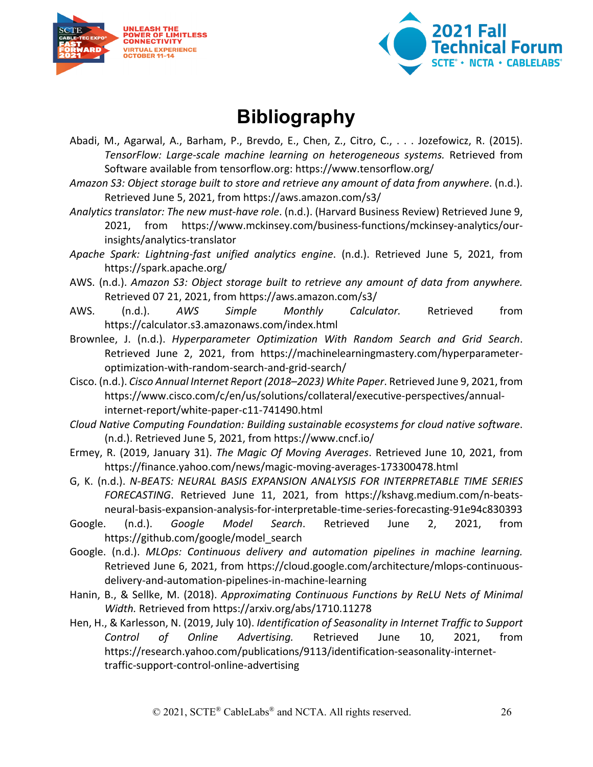



# **Bibliography**

- <span id="page-25-0"></span>Abadi, M., Agarwal, A., Barham, P., Brevdo, E., Chen, Z., Citro, C., . . . Jozefowicz, R. (2015). *TensorFlow: Large-scale machine learning on heterogeneous systems.* Retrieved from Software available from tensorflow.org: https://www.tensorflow.org/
- *Amazon S3: Object storage built to store and retrieve any amount of data from anywhere*. (n.d.). Retrieved June 5, 2021, from https://aws.amazon.com/s3/
- *Analytics translator: The new must-have role*. (n.d.). (Harvard Business Review) Retrieved June 9, 2021, from https://www.mckinsey.com/business-functions/mckinsey-analytics/ourinsights/analytics-translator
- *Apache Spark: Lightning-fast unified analytics engine*. (n.d.). Retrieved June 5, 2021, from https://spark.apache.org/
- AWS. (n.d.). *Amazon S3: Object storage built to retrieve any amount of data from anywhere.* Retrieved 07 21, 2021, from https://aws.amazon.com/s3/
- AWS. (n.d.). *AWS Simple Monthly Calculator.* Retrieved from https://calculator.s3.amazonaws.com/index.html
- Brownlee, J. (n.d.). *Hyperparameter Optimization With Random Search and Grid Search*. Retrieved June 2, 2021, from https://machinelearningmastery.com/hyperparameteroptimization-with-random-search-and-grid-search/
- Cisco. (n.d.). *Cisco Annual Internet Report (2018–2023) White Paper*. Retrieved June 9, 2021, from https://www.cisco.com/c/en/us/solutions/collateral/executive-perspectives/annualinternet-report/white-paper-c11-741490.html
- *Cloud Native Computing Foundation: Building sustainable ecosystems for cloud native software*. (n.d.). Retrieved June 5, 2021, from https://www.cncf.io/
- Ermey, R. (2019, January 31). *The Magic Of Moving Averages*. Retrieved June 10, 2021, from https://finance.yahoo.com/news/magic-moving-averages-173300478.html
- G, K. (n.d.). *N-BEATS: NEURAL BASIS EXPANSION ANALYSIS FOR INTERPRETABLE TIME SERIES FORECASTING*. Retrieved June 11, 2021, from https://kshavg.medium.com/n-beatsneural-basis-expansion-analysis-for-interpretable-time-series-forecasting-91e94c830393
- Google. (n.d.). *Google Model Search*. Retrieved June 2, 2021, from https://github.com/google/model\_search
- Google. (n.d.). *MLOps: Continuous delivery and automation pipelines in machine learning.* Retrieved June 6, 2021, from https://cloud.google.com/architecture/mlops-continuousdelivery-and-automation-pipelines-in-machine-learning
- Hanin, B., & Sellke, M. (2018). *Approximating Continuous Functions by ReLU Nets of Minimal Width.* Retrieved from https://arxiv.org/abs/1710.11278
- Hen, H., & Karlesson, N. (2019, July 10). *Identification of Seasonality in Internet Traffic to Support Control of Online Advertising.* Retrieved June 10, 2021, from https://research.yahoo.com/publications/9113/identification-seasonality-internettraffic-support-control-online-advertising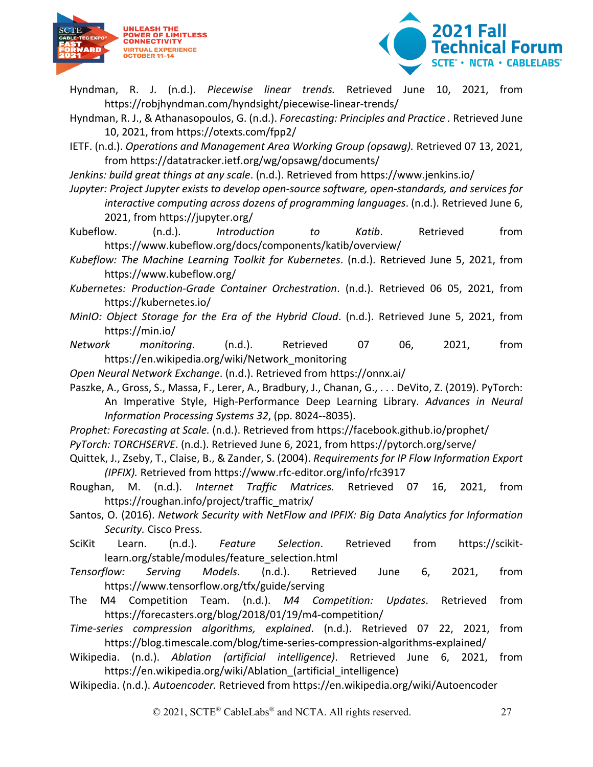



Hyndman, R. J. (n.d.). *Piecewise linear trends.* Retrieved June 10, 2021, from https://robjhyndman.com/hyndsight/piecewise-linear-trends/

Hyndman, R. J., & Athanasopoulos, G. (n.d.). *Forecasting: Principles and Practice .* Retrieved June 10, 2021, from https://otexts.com/fpp2/

IETF. (n.d.). *Operations and Management Area Working Group (opsawg).* Retrieved 07 13, 2021, from https://datatracker.ietf.org/wg/opsawg/documents/

*Jenkins: build great things at any scale*. (n.d.). Retrieved from https://www.jenkins.io/

*Jupyter: Project Jupyter exists to develop open-source software, open-standards, and services for interactive computing across dozens of programming languages*. (n.d.). Retrieved June 6, 2021, from https://jupyter.org/

Kubeflow. (n.d.). *Introduction to Katib*. Retrieved from https://www.kubeflow.org/docs/components/katib/overview/

*Kubeflow: The Machine Learning Toolkit for Kubernetes*. (n.d.). Retrieved June 5, 2021, from https://www.kubeflow.org/

*Kubernetes: Production-Grade Container Orchestration*. (n.d.). Retrieved 06 05, 2021, from https://kubernetes.io/

- *MinIO: Object Storage for the Era of the Hybrid Cloud*. (n.d.). Retrieved June 5, 2021, from https://min.io/
- *Network monitoring*. (n.d.). Retrieved 07 06, 2021, from https://en.wikipedia.org/wiki/Network\_monitoring

*Open Neural Network Exchange*. (n.d.). Retrieved from https://onnx.ai/

Paszke, A., Gross, S., Massa, F., Lerer, A., Bradbury, J., Chanan, G., . . . DeVito, Z. (2019). PyTorch: An Imperative Style, High-Performance Deep Learning Library. *Advances in Neural Information Processing Systems 32*, (pp. 8024--8035).

*Prophet: Forecasting at Scale.* (n.d.). Retrieved from https://facebook.github.io/prophet/

*PyTorch: TORCHSERVE*. (n.d.). Retrieved June 6, 2021, from https://pytorch.org/serve/

- Quittek, J., Zseby, T., Claise, B., & Zander, S. (2004). *Requirements for IP Flow Information Export (IPFIX).* Retrieved from https://www.rfc-editor.org/info/rfc3917
- Roughan, M. (n.d.). *Internet Traffic Matrices.* Retrieved 07 16, 2021, from https://roughan.info/project/traffic\_matrix/
- Santos, O. (2016). *Network Security with NetFlow and IPFIX: Big Data Analytics for Information Security.* Cisco Press.

SciKit Learn. (n.d.). *Feature Selection*. Retrieved from https://scikitlearn.org/stable/modules/feature\_selection.html

*Tensorflow: Serving Models*. (n.d.). Retrieved June 6, 2021, from https://www.tensorflow.org/tfx/guide/serving

- The M4 Competition Team. (n.d.). *M4 Competition: Updates*. Retrieved from https://forecasters.org/blog/2018/01/19/m4-competition/
- *Time-series compression algorithms, explained*. (n.d.). Retrieved 07 22, 2021, from https://blog.timescale.com/blog/time-series-compression-algorithms-explained/
- Wikipedia. (n.d.). *Ablation (artificial intelligence)*. Retrieved June 6, 2021, from https://en.wikipedia.org/wiki/Ablation (artificial intelligence)
- Wikipedia. (n.d.). *Autoencoder.* Retrieved from https://en.wikipedia.org/wiki/Autoencoder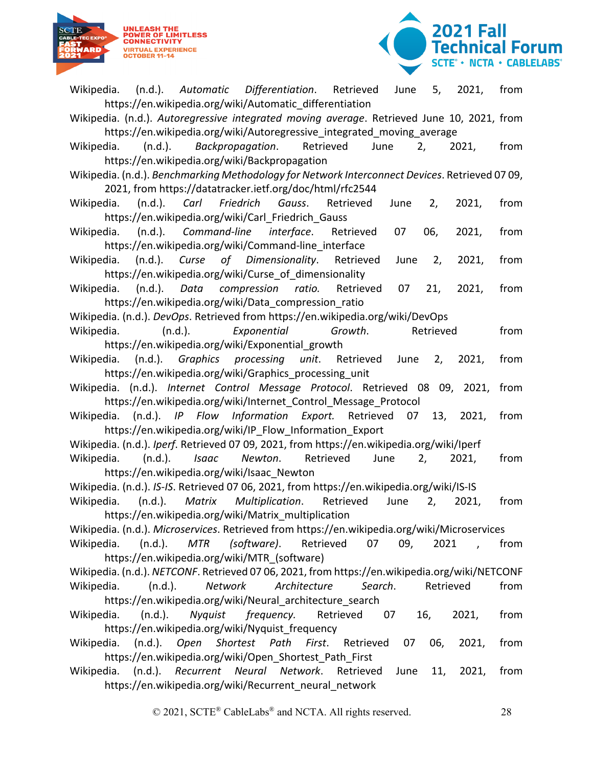



| Wikipedia. (n.d.). Automatic Differentiation. Retrieved<br>5,<br>2021,<br>June<br>https://en.wikipedia.org/wiki/Automatic differentiation                                                     | from |
|-----------------------------------------------------------------------------------------------------------------------------------------------------------------------------------------------|------|
| Wikipedia. (n.d.). Autoregressive integrated moving average. Retrieved June 10, 2021, from<br>https://en.wikipedia.org/wiki/Autoregressive_integrated_moving_average                          |      |
| Wikipedia. (n.d.). Backpropagation. Retrieved<br>June<br>2,<br>2021,<br>https://en.wikipedia.org/wiki/Backpropagation                                                                         | from |
| Wikipedia. (n.d.). Benchmarking Methodology for Network Interconnect Devices. Retrieved 07 09,<br>2021, from https://datatracker.ietf.org/doc/html/rfc2544                                    |      |
| (n.d.). Carl Friedrich<br>Gauss. Retrieved<br>2,<br>2021,<br>Wikipedia.<br>June<br>https://en.wikipedia.org/wiki/Carl Friedrich Gauss                                                         | from |
| (n.d.). Command-line interface. Retrieved<br>Wikipedia.<br>07<br>06,<br>2021,<br>https://en.wikipedia.org/wiki/Command-line interface                                                         | from |
| Wikipedia. (n.d.). Curse of Dimensionality. Retrieved<br>June<br>2,<br>2021,<br>https://en.wikipedia.org/wiki/Curse_of_dimensionality                                                         | from |
| Wikipedia. (n.d.). Data compression ratio.<br>Retrieved<br>07<br>21,<br>2021,<br>https://en.wikipedia.org/wiki/Data_compression ratio                                                         | from |
| Wikipedia. (n.d.). DevOps. Retrieved from https://en.wikipedia.org/wiki/DevOps<br>(n.d.). Exponential<br>Growth.<br>Retrieved<br>Wikipedia.                                                   | from |
| https://en.wikipedia.org/wiki/Exponential growth<br>Wikipedia. (n.d.). Graphics processing unit. Retrieved<br>June<br>2021,<br>2,                                                             | from |
| https://en.wikipedia.org/wiki/Graphics_processing_unit<br>Wikipedia. (n.d.). Internet Control Message Protocol. Retrieved 08 09, 2021, from                                                   |      |
| https://en.wikipedia.org/wiki/Internet Control Message Protocol                                                                                                                               |      |
| Wikipedia. (n.d.). IP Flow Information Export. Retrieved 07<br>13,<br>2021,<br>https://en.wikipedia.org/wiki/IP Flow Information Export                                                       | from |
| Wikipedia. (n.d.). Iperf. Retrieved 07 09, 2021, from https://en.wikipedia.org/wiki/Iperf<br>$(n.d.).$ <i>Isaac</i><br>Newton.<br>Retrieved<br>Wikipedia.<br>2,<br>2021,<br>June              | from |
| https://en.wikipedia.org/wiki/Isaac Newton<br>Wikipedia. (n.d.). IS-IS. Retrieved 07 06, 2021, from https://en.wikipedia.org/wiki/IS-IS                                                       |      |
| Wikipedia. (n.d.). Matrix Multiplication.<br>Retrieved<br>June<br>2,<br>2021,<br>https://en.wikipedia.org/wiki/Matrix_multiplication                                                          | from |
| Wikipedia. (n.d.). Microservices. Retrieved from https://en.wikipedia.org/wiki/Microservices<br>MTR<br>(software).<br>Retrieved<br>Wikipedia.<br>(n.d.).<br>07<br>09,<br>2021<br>$\mathbf{r}$ | from |
| https://en.wikipedia.org/wiki/MTR (software)<br>Wikipedia. (n.d.). NETCONF. Retrieved 07 06, 2021, from https://en.wikipedia.org/wiki/NETCONF                                                 |      |
| Wikipedia.<br>(n.d.).<br>Network<br>Architecture<br>Search.<br>Retrieved<br>https://en.wikipedia.org/wiki/Neural_architecture search                                                          | from |
| (n.d.).<br>Nyquist<br>frequency.<br>Retrieved<br>07<br>16,<br>2021,<br>Wikipedia.<br>https://en.wikipedia.org/wiki/Nyquist frequency                                                          | from |
| Wikipedia.<br>Open Shortest Path First.<br>2021,<br>(n.d.).<br>Retrieved<br>06,<br>07<br>https://en.wikipedia.org/wiki/Open_Shortest_Path_First                                               | from |
| Recurrent Neural<br>Network.<br>Wikipedia.<br>(n.d.).<br>Retrieved<br>2021,<br>June<br>11,<br>https://en.wikipedia.org/wiki/Recurrent_neural_network                                          | from |

© 2021, SCTE® CableLabs® and NCTA. All rights reserved. 28